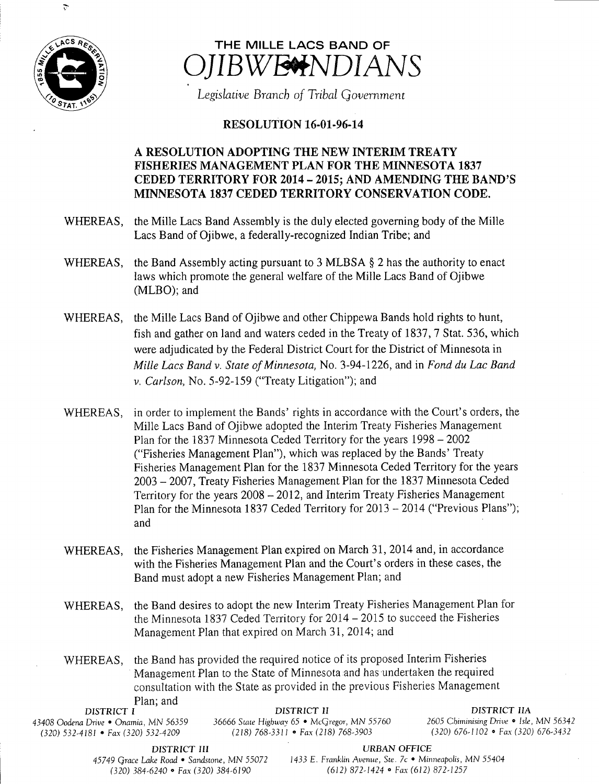

Þ



Legislative Branch of Tribal Government

# **RESOLUTION 16-01-96-14**

# A RESOLUTION ADOPTING THE NEW INTERIM TREATY FISHERIES MANAGEMENT PLAN FOR THE MINNESOTA 1837 CEDED TERRITORY FOR 2014 - 2015; AND AMENDING THE BAND'S MINNESOTA 1837 CEDED TERRITORY CONSERVATION CODE.

- WHEREAS, the Mille Lacs Band Assembly is the duly elected governing body of the Mille Lacs Band of Ojibwe, a federally-recognized Indian Tribe; and
- WHEREAS, the Band Assembly acting pursuant to 3 MLBSA § 2 has the authority to enact laws which promote the general welfare of the Mille Lacs Band of Ojibwe MLBO); and
- WHEREAS, the Mille Lacs Band of Ojibwe and other Chippewa Bands hold rights to hunt, fish and gather on land and waters ceded in the Treaty of 1837, 7 Stat. 536, which were adjudicated by the Federal District Court for the District of Minnesota in Mille Lacs Band v. State of Minnesota, No. 3-94-1226, and in Fond du Lac Band v. Carlson, No. 5-92-159 ("Treaty Litigation"); and
- WHEREAS, in order to implement the Bands' rights in accordance with the Court's orders, the Mille Lacs Band of Ojibwe adopted the Interim Treaty Fisheries Management Plan for the <sup>1837</sup> Minnesota Ceded Territory for the years 1998 —2002 Fisheries Management Plan"), which was replaced by the Bands' Treaty Fisheries Management Plan for the 1837 Minnesota Ceded Territory for the years 2003 —2007, Treaty Fisheries Management Plan for the 1837 Minnesota Ceded Territory for the years 2008 —2012, and Interim Treaty Fisheries Management Plan for the Minnesota 1837 Ceded Territory for 2013 – 2014 ("Previous Plans"); and
- WHEREAS, the Fisheries Management Plan expired on March 31, 2014 and, in accordance with the Fisheries Management Plan and the Court's orders in these cases, the Band must adopt a new Fisheries Management Plan; and
- WHEREAS, the Band desires to adopt the new Interim Treaty Fisheries Management Plan for the Minnesota <sup>1837</sup> Ceded Territory for 2014 — 2015 to succeed the Fisheries Management Plan that expired on March 31, 2014; and
- WHEREAS, the Band has provided the required notice of its proposed Interim Fisheries Management Plan to the State of Minnesota and has undertaken the required consultation with the State as provided in the previous Fisheries Management Plan; and

| DISTRICT II                                 | DISTRICT IIA                            |
|---------------------------------------------|-----------------------------------------|
| 36666 State Highway 65 • McGregor, MN 55760 | 2605 Chiminising Drive • Isle, MN 56342 |
| $(218)$ 768-3311 • Fax (218) 768-3903       | $(320)$ 676-1102 • Fax (320) 676-3432   |
|                                             |                                         |

DISTRICT III URBAN OFFICE

45749 Grace Lake Road • Sandstone, MN 55072 <sup>1433</sup> E. Franklin Avenue, Ste. 7c • Minneapolis, MN 55404 320) 384- 6240 • Fax( 320) 384- 6190 612) 872- 1424 • Fax( 612) 872- 1257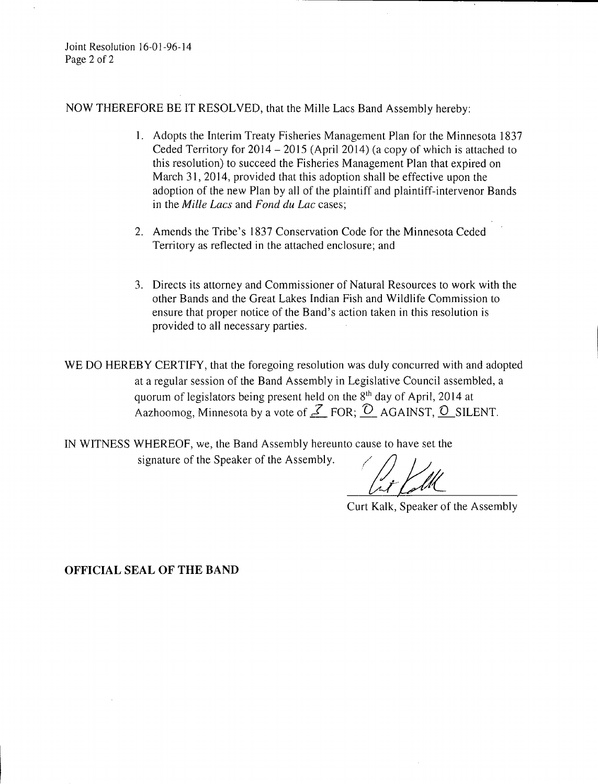Joint Resolution 16-01-96-14 Page 2 of 2

NOW THEREFORE BE IT RESOLVED, that the Mille Lacs Band Assembly hereby:

- 1. Adopts the Interim Treaty Fisheries Management Plan for the Minnesota 1837 Ceded Territory for 2014 — 2015 ( April 2014) ( <sup>a</sup> copy of which is attached to this resolution) to succeed the Fisheries Management Plan that expired on March 31, 2014, provided that this adoption shall be effective upon the adoption of the new Plan by all of the plaintiff and plaintiff-intervenor Bands in the Mille Lacs and Fond du Lac cases;
- 2. Amends the Tribe's 1837 Conservation Code for the Minnesota Ceded Territory as reflected in the attached enclosure; and
- 3. Directs its attorney and Commissioner of Natural Resources to work with the other Bands and the Great Lakes Indian Fish and Wildlife Commission to ensure that proper notice of the Band's action taken in this resolution is provided to all necessary parties.

WE DO HEREBY CERTIFY, that the foregoing resolution was duly concurred with and adopted at <sup>a</sup> regular session of the Band Assembly in Legislative Council assembled, a quorum of legislators being present held on the  $8<sup>th</sup>$  day of April, 2014 at Aazhoomog, Minnesota by a vote of  $\mathcal{Z}$  FOR;  $\mathcal{D}$  AGAINST,  $\mathcal{D}$  SILENT.

IN WITNESS WHEREOF, we, the Band Assembly hereunto cause to have set the signature of the Speaker of the Assembly.

Curt Kalk, Speaker of the Assembly

OFFICIAL SEAL OF THE BAND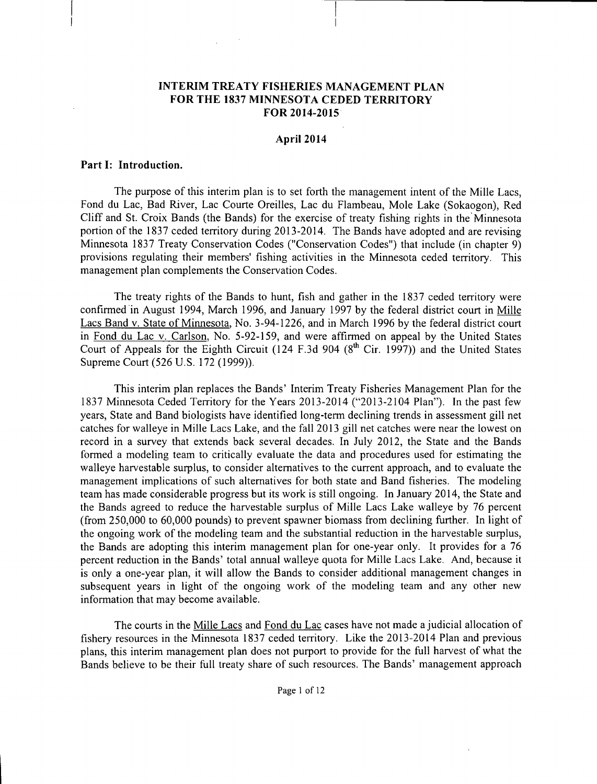### INTERIM TREATY FISHERIES MANAGEMENT PLAN FOR THE 1837 MINNESOTA CEDED TERRITORY  $FOR$  2014-2015

#### April 2014

#### Part I: Introduction.

The purpose of this interim plan is to set forth the management intent of the Mille Lacs, Fond du Lac, Bad River, Lac Courte Oreilles, Lac du Flambeau, Mole Lake (Sokaogon), Red Cliff and St. Croix Bands ( the Bands) for the exercise of treaty fishing rights in the' Minnesota portion of the 1837 ceded territory during 2013-2014. The Bands have adopted and are revising Minnesota 1837 Treaty Conservation Codes ("Conservation Codes") that include (in chapter 9) provisions regulating their members' fishing activities in the Minnesota ceded territory. This management plan complements the Conservation Codes.

The treaty rights of the Bands to hunt, fish and gather in the 1837 ceded territory were confirmed in August 1994, March 1996, and January 1997 by the federal district court in Mille Lacs Band v. State of Minnesota, No. 3-94-1226, and in March 1996 by the federal district court in Fond du Lac v. Carlson, No. 5-92-159, and were affirmed on appeal by the United States Court of Appeals for the Eighth Circuit (124 F.3d 904 ( $8<sup>th</sup>$  Cir. 1997)) and the United States Supreme Court (526 U.S. 172 (1999)).

This interim plan replaces the Bands' Interim Treaty Fisheries Management Plan for the <sup>1837</sup> Minnesota Ceded Territory for the Years 2013- 2014 (" 2013- 2104 Plan"). In the past few years, State and Band biologists have identified long-term declining trends in assessment gill net catches for walleye in Mille Lacs Lake, and the fall 2013 gill net catches were near the lowest on record in a survey that extends back several decades. In July 2012, the State and the Bands formed <sup>a</sup> modeling team to critically evaluate the data and procedures used for estimating the walleye harvestable surplus, to consider alternatives to the current approach, and to evaluate the management implications of such alternatives for both state and Band fisheries. The modeling team has made considerable progress but its work is still ongoing. In January 2014, the State and the Bands agreed to reduce the harvestable surplus of Mille Lacs Lake walleye by 76 percent from 250, 000 to 60, 000 pounds) to prevent spawner biomass from declining further. In light of the ongoing work of the modeling team and the substantial reduction in the harvestable surplus, the Bands are adopting this interim management plan for one- year only. It provides for <sup>a</sup> <sup>76</sup> percent reduction in the Bands' total annual walleye quota for Mille Lacs Lake. And, because it is only <sup>a</sup> one- year plan, it will allow the Bands to consider additional management changes in subsequent years in light of the ongoing work of the modeling team and any other new information that may become available.

The courts in the Mille Lacs and Fond du Lac cases have not made <sup>a</sup> judicial allocation of fishery resources in the Minnesota 1837 ceded territory. Like the 2013-2014 Plan and previous plans, this interim management plan does not purport to provide for the full harvest of what the Bands believe to be their full treaty share of such resources. The Bands' management approach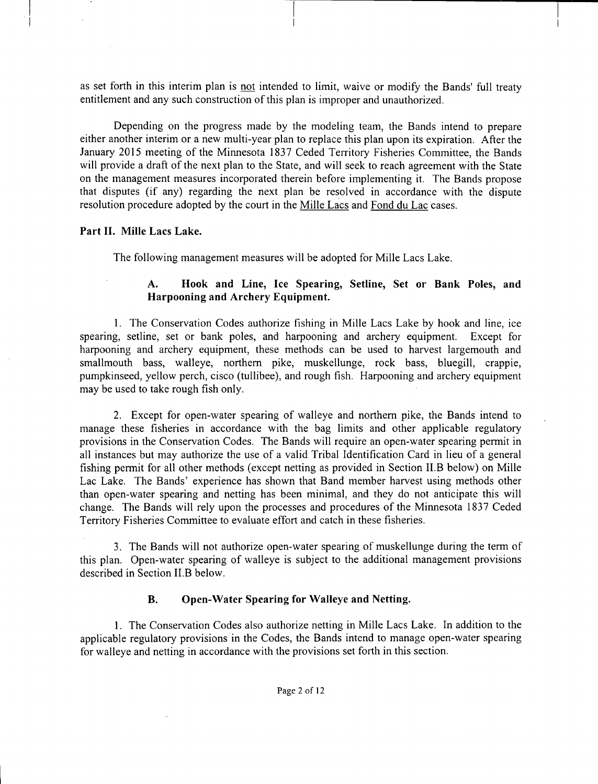as set forth in this interim plan is not intended to limit, waive or modify the Bands' full treaty entitlement and any such construction of this plan is improper and unauthorized.

Depending on the progress made by the modeling team, the Bands intend to prepare either another interim or <sup>a</sup> new multi-year plan to replace this plan upon its expiration. After the January 2015 meeting of the Minnesota 1837 Ceded Territory Fisheries Committee, the Bands will provide <sup>a</sup> draft of the next plan to the State, and will seek to reach agreement with the State on the management measures incorporated therein before implementing it. The Bands propose that disputes (if any) regarding the next plan be resolved in accordance with the dispute resolution procedure adopted by the court in the Mille Lacs and Fond du Lac cases.

### Part II. Mille Lacs Lake.

The following management measures will be adopted for Mille Lacs Lake.

## A. Hook and Line, Ice Spearing, Setline, Set or Bank Poles, and Harpooning and Archery Equipment.

1. The Conservation Codes authorize fishing in Mille Lacs Lake by hook and line, ice spearing, setline, set or bank poles, and harpooning and archery equipment. Except for harpooning and archery equipment, these methods can be used to harvest largemouth and smallmouth bass, walleye, northern pike, muskellunge, rock bass, bluegill, crappie, pumpkinseed, yellow perch, cisco (tullibee), and rough fish. Harpooning and archery equipment may be used to take rough fish only.

2. Except for open-water spearing of walleye and northern pike, the Bands intend to manage these fisheries in accordance with the bag limits and other applicable regulatory provisions in the Conservation Codes. The Bands will require an open-water spearing permit in all instances but may authorize the use of <sup>a</sup> valid Tribal Identification Card in lieu of <sup>a</sup> general fishing permit for all other methods ( except netting as provided in Section II.B below) on Mille Lac Lake. The Bands' experience has shown that Band member harvest using methods other than open-water spearing and netting has been minimal, and they do not anticipate this will change. The Bands will rely upon the processes and procedures of the Minnesota 1837 Ceded Territory Fisheries Committee to evaluate effort and catch in these fisheries.

3. The Bands will not authorize open-water spearing of muskellunge during the term of this plan. Open-water spearing of walleye is subject to the additional management provisions described in Section II.B below.

## B. Open-Water Spearing for Walleye and Netting.

1. The Conservation Codes also authorize netting in Mille Lacs Lake. In addition to the applicable regulatory provisions in the Codes, the Bands intend to manage open-water spearing for walleye and netting in accordance with the provisions set forth in this section.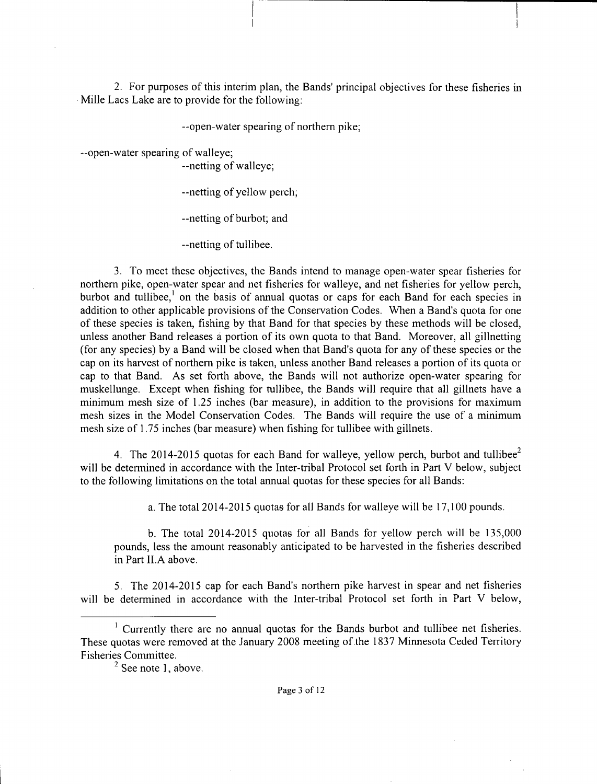2. For purposes of this interim plan, the Bands' principal objectives for these fisheries in Mille Lacs Lake are to provide for the following:

--open-water spearing of northern pike;

--open-water spearing of walleye;

--netting of walleye;

--netting of yellow perch;

--netting of burbot; and

--netting of tullibee.

3. To meet these objectives, the Bands intend to manage open-water spear fisheries for northern pike, open-water spear and net fisheries for walleye, and net fisheries for yellow perch, burbot and tullibee,<sup>1</sup> on the basis of annual quotas or caps for each Band for each species in addition to other applicable provisions of the Conservation Codes. When a Band's quota for one of these species is taken, fishing by that Band for that species by these methods will be closed, unless another Band releases <sup>a</sup> portion of its own quota to that Band. Moreover, all gillnetting (for any species) by a Band will be closed when that Band's quota for any of these species or the cap on its harvest of northern pike is taken, unless another Band releases <sup>a</sup> portion of its quota or cap to that Band. As set forth above, the Bands will not authorize open-water spearing for muskellunge. Except when fishing for tullibee, the Bands will require that all gillnets have <sup>a</sup> minimum mesh size of 1.25 inches (bar measure), in addition to the provisions for maximum mesh sizes in the Model Conservation Codes. The Bands will require the use of <sup>a</sup> minimum mesh size of 1.75 inches (bar measure) when fishing for tullibee with gillnets.

4. The 2014-2015 quotas for each Band for walleye, yellow perch, burbot and tullibee<sup>2</sup> will be determined in accordance with the Inter-tribal Protocol set forth in Part V below, subject to the following limitations on the total annual quotas for these species for all Bands:

a. The total 2014-2015 quotas for all Bands for walleye will be 17,100 pounds.

b. The total 2014-2015 quotas for all Bands for yellow perch will be 135, 000 pounds, less the amount reasonably anticipated to be harvested in the fisheries described in Part II.A above.

5. The 2014-2015 cap for each Band's northern pike harvest in spear and net fisheries will be determined in accordance with the Inter-tribal Protocol set forth in Part V below,

<sup>&</sup>lt;sup>1</sup> Currently there are no annual quotas for the Bands burbot and tullibee net fisheries. These quotas were removed at the January 2008 meeting of the 1837 Minnesota Ceded Territory Fisheries Committee.

 $2$  See note 1, above.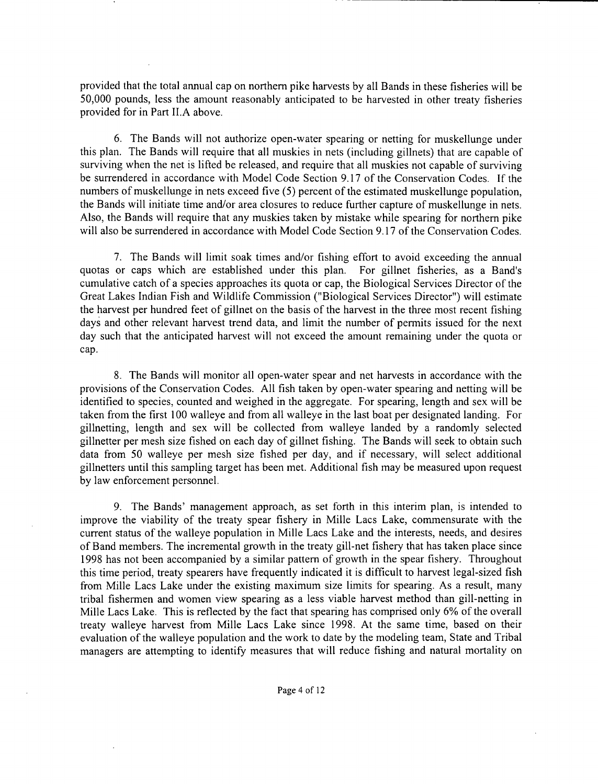provided that the total annual cap on northern pike harvests by all Bands in these fisheries will be 50, 000 pounds, less the amount reasonably anticipated to be harvested in other treaty fisheries provided for in Part II.A above.

6. The Bands will not authorize open-water spearing or netting for muskellunge under this plan. The Bands will require that all muskies in nets ( including gillnets) that are capable of surviving when the net is lifted be released, and require that all muskies not capable of surviving be surrendered in accordance with Model Code Section 9. <sup>17</sup> of the Conservation Codes. If the numbers of muskellunge in nets exceed five (5) percent of the estimated muskellunge population, the Bands will initiate time and/or area closures to reduce further capture of muskellunge in nets. Also, the Bands will require that any muskies taken by mistake while spearing for northern pike will also be surrendered in accordance with Model Code Section 9. <sup>17</sup> of the Conservation Codes.

7. The Bands will limit soak times and/or fishing effort to avoid exceeding the annual quotas or caps which are established under this plan. For gillnet fisheries, as a Band's cumulative catch of <sup>a</sup> species approaches its quota or cap, the Biological Services Director of the Great Lakes Indian Fish and Wildlife Commission (" Biological Services Director") will estimate the harvest per hundred feet of gillnet on the basis of the harvest in the three most recent fishing days and other relevant harvest trend data, and limit the number of permits issued for the next day such that the anticipated harvest will not exceed the amount remaining under the quota or cap.

8. The Bands will monitor all open-water spear and net harvests in accordance with the provisions of the Conservation Codes. All fish taken by open-water spearing and netting will be identified to species, counted and weighed in the aggregate. For spearing, length and sex will be taken from the first 100 walleye and from all walleye in the last boat per designated landing. For gillnetting, length and sex will be collected from walleye landed by <sup>a</sup> randomly selected gillnetter per mesh size fished on each day of gillnet fishing. The Bands will seek to obtain such data from <sup>50</sup> walleye per mesh size fished per day, and if necessary, will select additional gillnetters until this sampling target has been met. Additional fish may be measured upon request by law enforcement personnel.

9. The Bands' management approach, as set forth in this interim plan, is intended to improve the viability of the treaty spear fishery in Mille Lacs Lake, commensurate with the current status of the walleye population in Mille Lacs Lake and the interests, needs, and desires of Band members. The incremental growth in the treaty gill-net fishery that has taken place since 1998 has not been accompanied by <sup>a</sup> similar pattern of growth in the spear fishery. Throughout this time period, treaty spearers have frequently indicated it is difficult to harvest legal- sized fish from Mille Lacs Lake under the existing maximum size limits for spearing. As <sup>a</sup> result, many tribal fishermen and women view spearing as <sup>a</sup> less viable harvest method than gill-netting in Mille Lacs Lake. This is reflected by the fact that spearing has comprised only 6% of the overall treaty walleye harvest from Mille Lacs Lake since 1998. At the same time, based on their evaluation of the walleye population and the work to date by the modeling team, State and Tribal managers are attempting to identify measures that will reduce fishing and natural mortality on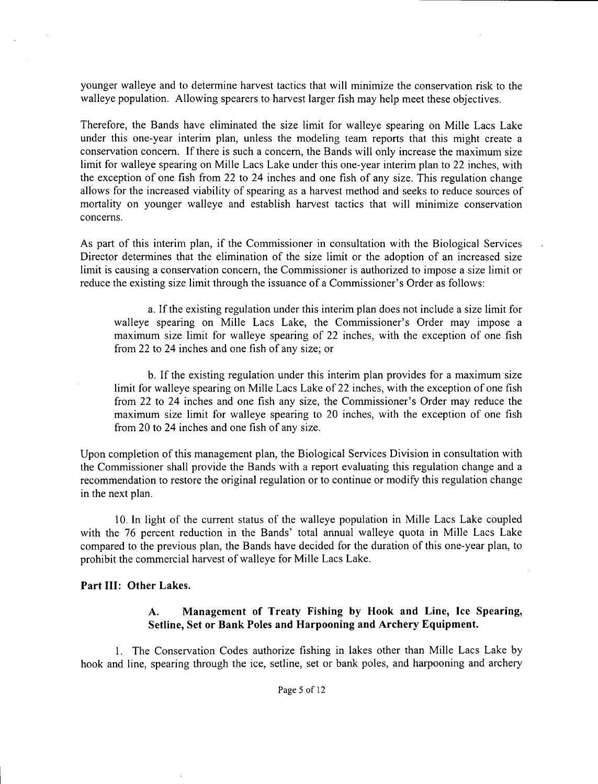younger walleye and to determine harvest tactics that will minimize the conservation risk to the walleye population. Allowing spearers to harvest larger fish may help meet these objectives.

Therefore, the Bands have eliminated the size limit for walleye spearing on Mille Lacs Lake under this one-year interim plan, unless the modeling team reports that this might create <sup>a</sup> conservation concern. If there is such <sup>a</sup> concern, the Bands will only increase the maximum size limit for walleye spearing on Mille Lacs Lake under this one- year interim plan to 22 inches, with the exception of one fish from 22 to 24 inches and one fish of any size. This regulation change allows for the increased viability of spearing as <sup>a</sup> harvest method and seeks to reduce sources of mortality on younger walleye and establish harvest tactics that will minimize conservation concerns.

As part of this interim plan, if the Commissioner in consultation with the Biological Services . Director determines that the elimination of the size limit or the adoption of an increased size limit is causing <sup>a</sup> conservation concern, the Commissioner is authorized to impose <sup>a</sup> size limit or reduce the existing size limit through the issuance of <sup>a</sup> Commissioner' <sup>s</sup> Order as follows:

a. If the existing regulation under this interim plan does not include <sup>a</sup> size limit for walleye spearing on Mille Lacs Lake, the Commissioner's Order may impose a maximum size limit for walleye spearing of 22 inches, with the exception of one fish from 22 to 24 inches and one fish of any size; or

b. If the existing regulation under this interim plan provides for <sup>a</sup> maximum size limit for walleye spearing on Mille Lacs Lake of 22 inches, with the exception of one fish from 22 to 24 inches and one fish any size, the Commissioner's Order may reduce the maximum size limit for walleye spearing to 20 inches, with the exception of one fish from 20 to 24 inches and one fish of any size.

Upon completion of this management plan, the Biological Services Division in consultation with the Commissioner shall provide the Bands with <sup>a</sup> report evaluating this regulation change and <sup>a</sup> recommendation to restore the original regulation or to continue or modify this regulation change in the next plan.

10. In light of the current status of the walleye population in Mille Lacs Lake coupled with the 76 percent reduction in the Bands' total annual walleye quota in Mille Lacs Lake compared to the previous plan, the Bands have decided for the duration of this one- year plan, to prohibit the commercial harvest of walleye for Mille Lacs Lake.

#### Part III: Other Lakes.

## A. Management of Treaty Fishing by Hook and Line, Ice Spearing, Setline, Set or Bank Poles and Harpooning and Archery Equipment.

1. The Conservation Codes authorize fishing in lakes other than Mille Lacs Lake by hook and line, spearing through the ice, setline, set or bank poles, and harpooning and archery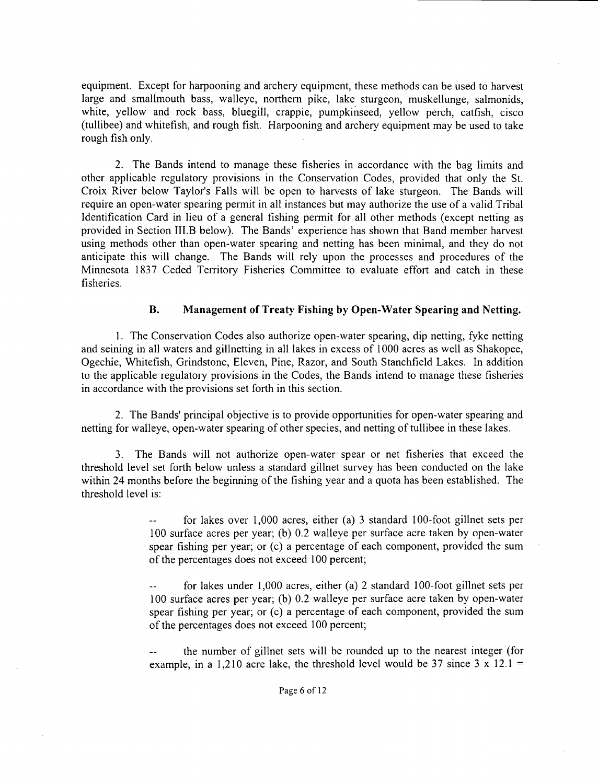equipment. Except for harpooning and archery equipment, these methods can be used to harvest large and smallmouth bass, walleye, northern pike, lake sturgeon, muskellunge, salmonids, white, yellow and rock bass, bluegill, crappie, pumpkinseed, yellow perch, catfish, cisco tullibee) and whitefish, and rough fish. Harpooning and archery equipment may be used to take rough fish only.

2. The Bands intend to manage these fisheries in accordance with the bag limits and other applicable regulatory provisions in the Conservation Codes, provided that only the St. Croix River below Taylor'<sup>s</sup> Falls will be open to harvests of lake sturgeon. The Bands will require an open-water spearing permit in all instances but may authorize the use of <sup>a</sup> valid Tribal Identification Card in lieu of a general fishing permit for all other methods (except netting as provided in Section III.B below). The Bands' experience has shown that Band member harvest using methods other than open-water spearing and netting has been minimal, and they do not anticipate this will change. The Bands will rely upon the processes and procedures of the Minnesota 1837 Ceded Territory Fisheries Committee to evaluate effort and catch in these fisheries.

# B. Management of Treaty Fishing by Open- Water Spearing and Netting.

1. The Conservation Codes also authorize open- water spearing, dip netting, fyke netting and seining in all waters and gillnetting in all lakes in excess of 1000 acres as well as Shakopee, Ogechie, Whitefish, Grindstone, Eleven, Pine, Razor, and South Stanchfield Lakes. In addition to the applicable regulatory provisions in the Codes, the Bands intend to manage these fisheries in accordance with the provisions set forth in this section.

2. The Bands' principal objective is to provide opportunities for open-water spearing and netting for walleye, open-water spearing of other species, and netting of tullibee in these lakes.

3. The Bands will not authorize open-water spear or net fisheries that exceed the threshold level set forth below unless a standard gillnet survey has been conducted on the lake within 24 months before the beginning of the fishing year and <sup>a</sup> quota has been established. The threshold level is:

> for lakes over 1,000 acres, either (a) 3 standard 100-foot gillnet sets per 100 surface acres per year; (b) 0.2 walleye per surface acre taken by open-water spear fishing per year; or (c) a percentage of each component, provided the sum of the percentages does not exceed 100 percent;

> for lakes under 1,000 acres, either (a) 2 standard 100-foot gillnet sets per 100 surface acres per year; (b) 0.2 walleye per surface acre taken by open-water spear fishing per year; or  $(c)$  a percentage of each component, provided the sum of the percentages does not exceed 100 percent;

> the number of gillnet sets will be rounded up to the nearest integer ( for example, in a 1,210 acre lake, the threshold level would be 37 since  $3 \times 12.1 =$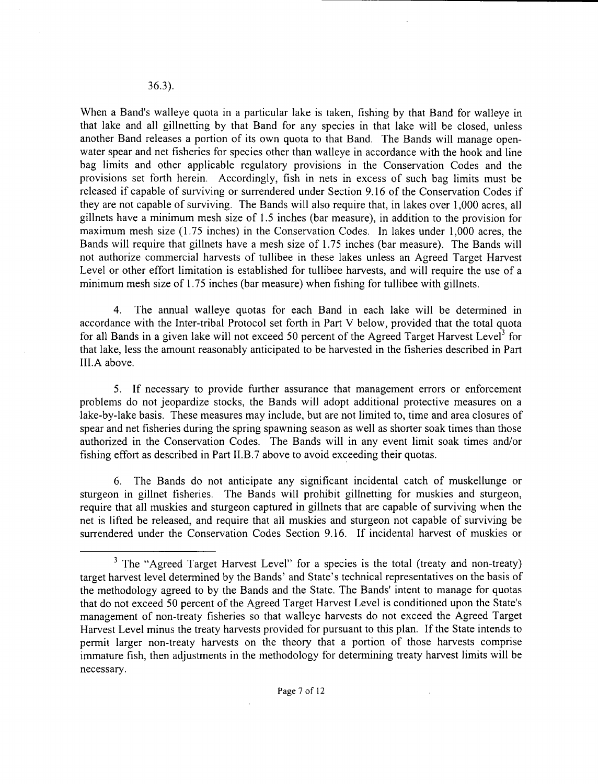When a Band's walleye quota in a particular lake is taken, fishing by that Band for walleye in that lake and all gillnetting by that Band for any species in that lake will be closed, unless another Band releases <sup>a</sup> portion of its own quota to that Band. The Bands will manage openwater spear and net fisheries for species other than walleye in accordance with the hook and line bag limits and other applicable regulatory provisions in the Conservation Codes and the provisions set forth herein. Accordingly, fish in nets in excess of such bag limits must be released if capable of surviving or surrendered under Section 9. <sup>16</sup> of the Conservation Codes if they are not capable of surviving. The Bands will also require that, in lakes over 1, 000 acres, all gillnets have <sup>a</sup> minimum mesh size of 1. <sup>5</sup> inches ( bar measure), in addition to the provision for maximum mesh size  $(1.75 \text{ inches})$  in the Conservation Codes. In lakes under 1,000 acres, the Bands will require that gillnets have a mesh size of 1.75 inches (bar measure). The Bands will not authorize commercial harvests of tullibee in these lakes unless an Agreed Target Harvest Level or other effort limitation is established for tullibee harvests, and will require the use of <sup>a</sup> minimum mesh size of 1.75 inches (bar measure) when fishing for tullibee with gillnets.

4. The annual walleye quotas for each Band in each lake will be determined in accordance with the Inter-tribal Protocol set forth in Part V below, provided that the total quota for all Bands in a given lake will not exceed 50 percent of the Agreed Target Harvest Level<sup>3</sup> for that lake, less the amount reasonably anticipated to be harvested in the fisheries described in Part III.A above.

5. If necessary to provide further assurance that management errors or enforcement problems do not jeopardize stocks, the Bands will adopt additional protective measures on <sup>a</sup> lake-by-lake basis. These measures may include, but are not limited to, time and area closures of spear and net fisheries during the spring spawning season as well as shorter soak times than those authorized in the Conservation Codes. The Bands will in any event limit soak times and/or fishing effort as described in Part II.B.7 above to avoid exceeding their quotas.

6. The Bands do not anticipate any significant incidental catch of muskellunge or sturgeon in gillnet fisheries. The Bands will prohibit gillnetting for muskies and sturgeon, require that all muskies and sturgeon captured in gillnets that are capable of surviving when the net is lifted be released, and require that all muskies and sturgeon not capable of surviving be surrendered under the Conservation Codes Section 9. 16. If incidental harvest of muskies or

<sup>&</sup>lt;sup>3</sup> The "Agreed Target Harvest Level" for a species is the total (treaty and non-treaty) target harvest level determined by the Bands' and State' <sup>s</sup> technical representatives on the basis of the methodology agreed to by the Bands and the State. The Bands' intent to manage for quotas that do not exceed 50 percent of the Agreed Target Harvest Level is conditioned upon the State's management of non-treaty fisheries so that walleye harvests do not exceed the Agreed Target Harvest Level minus the treaty harvests provided for pursuant to this plan. If the State intends to permit larger non-treaty harvests on the theory that <sup>a</sup> portion of those harvests comprise immature fish, then adjustments in the methodology for determining treaty harvest limits will be necessary.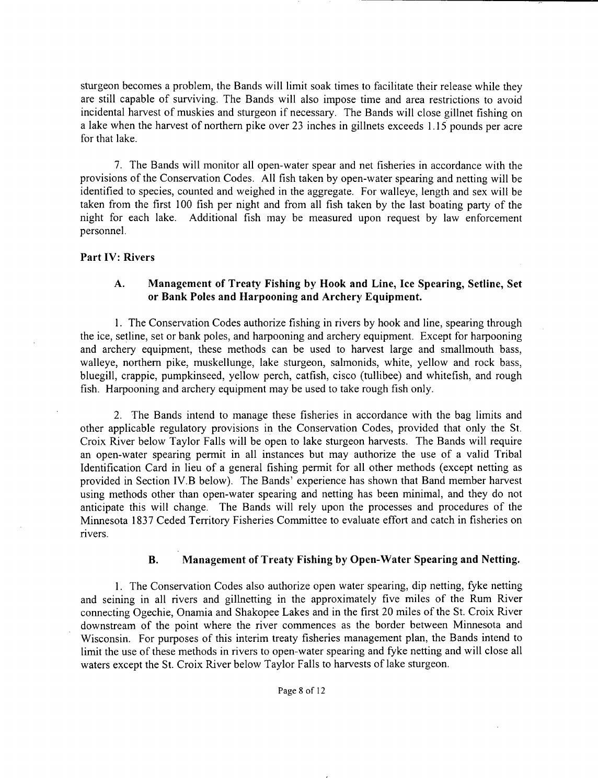sturgeon becomes <sup>a</sup> problem, the Bands will limit soak times to facilitate their release while they are still capable of surviving. The Bands will also impose time and area restrictions to avoid incidental harvest of muskies and sturgeon if necessary. The Bands will close gillnet fishing on <sup>a</sup> lake when the harvest of northern pike over 23 inches in gillnets exceeds 1. 15 pounds per acre for that lake.

7. The Bands will monitor all open- water spear and net fisheries in accordance with the provisions of the Conservation Codes. All fish taken by open- water spearing and netting will be identified to species, counted and weighed in the aggregate. For walleye, length and sex will be taken from the first 100 fish per night and from all fish taken by the last boating party of the night for each lake. Additional fish may be measured upon request by law enforcement personnel.

### Part IV: Rivers

# A. Management of Treaty Fishing by Hook and Line, Ice Spearing, Setline, Set or Bank Poles and Harpooning and Archery Equipment.

1. The Conservation Codes authorize fishing in rivers by hook and line, spearing through the ice, setline, set or bank poles, and harpooning and archery equipment. Except for harpooning and archery equipment, these methods can be used to harvest large and smallmouth bass, walleye, northern pike, muskellunge, lake sturgeon, salmonids, white, yellow and rock bass, bluegill, crappie, pumpkinseed, yellow perch, catfish, cisco ( tullibee) and whitefish, and rough fish. Harpooning and archery equipment may be used to take rough fish only.

2. The Bands intend to manage these fisheries in accordance with the bag limits and other applicable regulatory provisions in the Conservation Codes, provided that only the St. Croix River below Taylor Falls will be open to lake sturgeon harvests. The Bands will require an open-water spearing permit in all instances but may authorize the use of <sup>a</sup> valid Tribal Identification Card in lieu of a general fishing permit for all other methods (except netting as provided in Section IV.B below). The Bands' experience has shown that Band member harvest using methods other than open-water spearing and netting has been minimal, and they do not anticipate this will change. The Bands will rely upon the processes and procedures of the Minnesota 1837 Ceded Territory Fisheries Committee to evaluate effort and catch in fisheries on rivers.

## B. Management of Treaty Fishing by Open-Water Spearing and Netting.

1. The Conservation Codes also authorize open water spearing, dip netting, fyke netting and seining in all rivers and gillnetting in the approximately five miles of the Rum River connecting Ogechie, Onamia and Shakopee Lakes and in the first 20 miles of the St. Croix River downstream of the point where the river commences as the border between Minnesota and Wisconsin. For purposes of this interim treaty fisheries management plan, the Bands intend to limit the use of these methods in rivers to open-water spearing and fyke netting and will close all waters except the St. Croix River below Taylor Falls to harvests of lake sturgeon.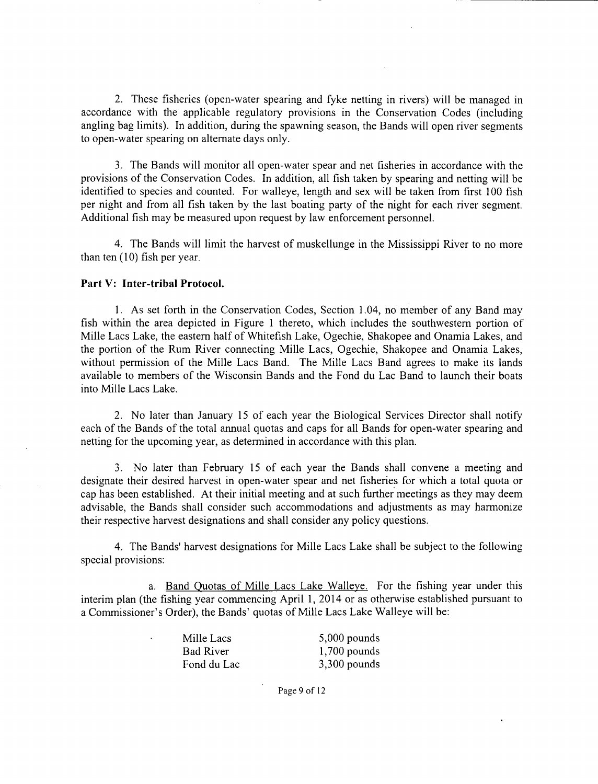2. These fisheries ( open-water spearing and fyke netting in rivers) will be managed in accordance with the applicable regulatory provisions in the Conservation Codes ( including angling bag limits). In addition, during the spawning season, the Bands will open river segments to open-water spearing on alternate days only.

3. The Bands will monitor all open-water spear and net fisheries in accordance with the provisions of the Conservation Codes. In addition, all fish taken by spearing and netting will be identified to species and counted. For walleye, length and sex will be taken from first 100 fish per night and from all fish taken by the last boating party of the night for each river segment. Additional fish may be measured upon request by law enforcement personnel.

4. The Bands will limit the harvest of muskellunge in the Mississippi River to no more than ten $(10)$  fish per year.

#### Part V: Inter-tribal Protocol.

1. As set forth in the Conservation Codes, Section 1. 04, no member of any Band may fish within the area depicted in Figure <sup>1</sup> thereto, which includes the southwestern portion of Mille Lacs Lake, the eastern half of Whitefish Lake, Ogechie, Shakopee and Onamia Lakes, and the portion of the Rum River connecting Mille Lacs, Ogechie, Shakopee and Onamia Lakes, without permission of the Mille Lacs Band. The Mille Lacs Band agrees to make its lands available to members of the Wisconsin Bands and the Fond du Lac Band to launch their boats into Mille Lacs Lake.

2. No later than January <sup>15</sup> of each year the Biological Services Director shall notify each of the Bands of the total annual quotas and caps for all Bands for open-water spearing and netting for the upcoming year, as determined in accordance with this plan.

3. No later than February <sup>15</sup> of each year the Bands shall convene <sup>a</sup> meeting and designate their desired harvest in open-water spear and net fisheries for which a total quota or cap has been established. At their initial meeting and at such further meetings as they may deem advisable, the Bands shall consider such accommodations and adjustments as may harmonize their respective harvest designations and shall consider any policy questions.

4. The Bands' harvest designations for Mille Lacs Lake shall be subject to the following special provisions:

a. Band Quotas of Mille Lacs Lake Walleye. For the fishing year under this interim plan ( the fishing year commencing April 1, 2014 or as otherwise established pursuant to a Commissioner's Order), the Bands' quotas of Mille Lacs Lake Walleye will be:

Mille Lacs 5,000 pounds Bad River 1,700 pounds Fond du Lac 3,300 pounds

Page 9 of <sup>12</sup>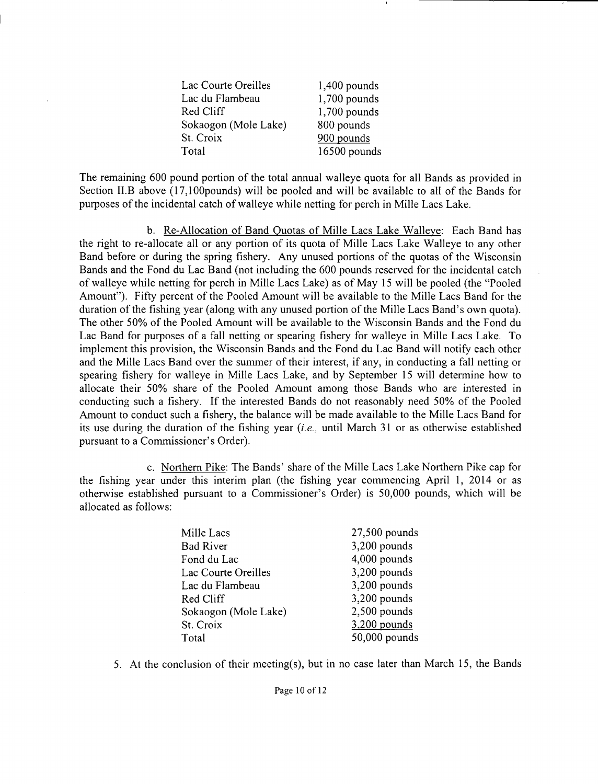| Lac Courte Oreilles  | 1,400 pounds   |
|----------------------|----------------|
| Lac du Flambeau      | $1,700$ pounds |
| Red Cliff            | 1,700 pounds   |
| Sokaogon (Mole Lake) | 800 pounds     |
| St. Croix            | 900 pounds     |
| Total                | 16500 pounds   |

The remaining 600 pound portion of the total annual walleye quota for all Bands as provided in Section II.B above (17,100 pounds) will be pooled and will be available to all of the Bands for purposes of the incidental catch of walleye while netting for perch in Mille Lacs Lake.

b. Re-Allocation of Band Quotas of Mille Lacs Lake Walleye: Each Band has the right to re- allocate all or any portion of its quota of Mille Lacs Lake Walleye to any other Band before or during the spring fishery. Any unused portions of the quotas of the Wisconsin Bands and the Fond du Lac Band ( not including the 600 pounds reserved for the incidental catch of walleye while netting for perch in Mille Lacs Lake) as of May <sup>15</sup> will be pooled ( the " Pooled Amount"). Fifty percent of the Pooled Amount will be available to the Mille Lacs Band for the duration of the fishing year (along with any unused portion of the Mille Lacs Band's own quota). The other 50% of the Pooled Amount will be available to the Wisconsin Bands and the Fond du Lac Band for purposes of <sup>a</sup> fall netting or spearing fishery for walleye in Mille Lacs Lake. To implement this provision, the Wisconsin Bands and the Fond du Lac Band will notify each other and the Mille Lacs Band over the summer of their interest, if any, in conducting <sup>a</sup> fall netting or spearing fishery for walleye in Mille Lacs Lake, and by September <sup>15</sup> will determine how to allocate their 50% share of the Pooled Amount among those Bands who are interested in conducting such <sup>a</sup> fishery. If the interested Bands do not reasonably need 50% of the Pooled Amount to conduct such <sup>a</sup> fishery, the balance will be made available to the Mille Lacs Band for its use during the duration of the fishing year  $(i.e.,$  until March 31 or as otherwise established pursuant to a Commissioner's Order).

c. Northern Pike: The Bands' share of the Mille Lacs Lake Northern Pike cap for the fishing year under this interim plan ( the fishing year commencing April 1, <sup>2014</sup> or as otherwise established pursuant to a Commissioner's Order) is 50,000 pounds, which will be allocated as follows:

| $27,500$ pounds |
|-----------------|
| $3,200$ pounds  |
| $4,000$ pounds  |
| $3,200$ pounds  |
| $3,200$ pounds  |
| $3,200$ pounds  |
| $2,500$ pounds  |
| $3,200$ pounds  |
| 50,000 pounds   |
|                 |

5. At the conclusion of their meeting(s), but in no case later than March 15, the Bands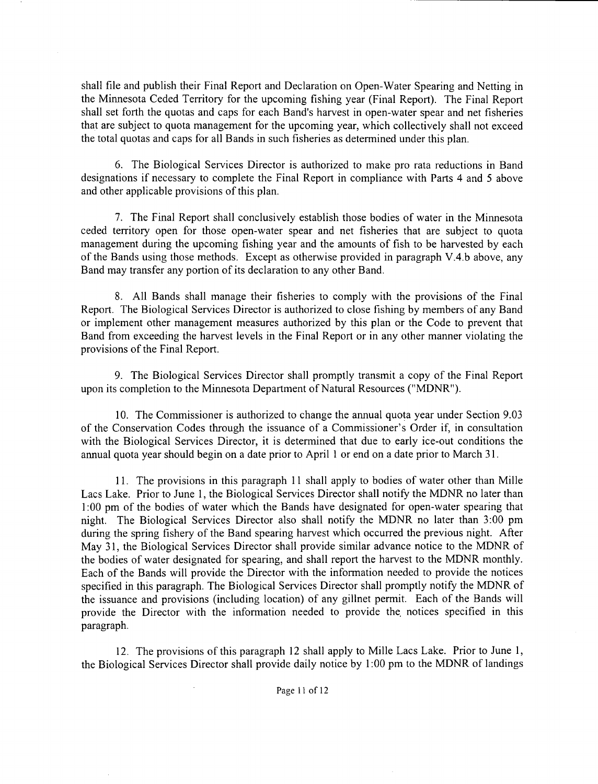shall file and publish their Final Report and Declaration on Open-Water Spearing and Netting in the Minnesota Ceded Territory for the upcoming fishing year (Final Report). The Final Report shall set forth the quotas and caps for each Band's harvest in open-water spear and net fisheries that are subject to quota management for the upcoming year, which collectively shall not exceed the total quotas and caps for all Bands in such fisheries as determined under this plan.

6. The Biological Services Director is authorized to make pro rata reductions in Band designations if necessary to complete the Final Report in compliance with Parts <sup>4</sup> and <sup>5</sup> above and other applicable provisions of this plan.

7. The Final Report shall conclusively establish those bodies of water in the Minnesota ceded territory open for those open- water spear and net fisheries that are subject to quota management during the upcoming fishing year and the amounts of fish to be harvested by each of the Bands using those methods. Except as otherwise provided in paragraph V.4.b above, any Band may transfer any portion of its declaration to any other Band.

8. All Bands shall manage their fisheries to comply with the provisions of the Final Report. The Biological Services Director is authorized to close fishing by members of any Band or implement other management measures authorized by this plan or the Code to prevent that Band from exceeding the harvest levels in the Final Report or in any other manner violating the provisions of the Final Report.

9. The Biological Services Director shall promptly transmit <sup>a</sup> copy of the Final Report upon its completion to the Minnesota Department of Natural Resources ("MDNR").

10. The Commissioner is authorized to change the annual quota year under Section 9.03 of the Conservation Codes through the issuance of a Commissioner's Order if, in consultation with the Biological Services Director, it is determined that due to early ice-out conditions the annual quota year should begin on <sup>a</sup> date prior to April <sup>1</sup> or end on <sup>a</sup> date prior to March 31.

11. The provisions in this paragraph <sup>11</sup> shall apply to bodies of water other than Mille Lacs Lake. Prior to June 1, the Biological Services Director shall notify the MDNR no later than 1: 00 pm of the bodies of water which the Bands have designated for open-water spearing that night. The Biological Services Director also shall notify the MDNR no later than 3: 00 pm during the spring fishery of the Band spearing harvest which occurred the previous night. After May 31, the Biological Services Director shall provide similar advance notice to the MDNR of the bodies of water designated for spearing, and shall report the harvest to the MDNR monthly. Each of the Bands will provide the Director with the information needed to provide the notices specified in this paragraph. The Biological Services Director shall promptly notify the MDNR of the issuance and provisions ( including location) of any gillnet permit. Each of the Bands will provide the Director with the information needed to provide the, notices specified in this paragraph.

12. The provisions of this paragraph <sup>12</sup> shall apply to Mille Lacs Lake. Prior to June 1, the Biological Services Director shall provide daily notice by 1: 00 pm to the MDNR of landings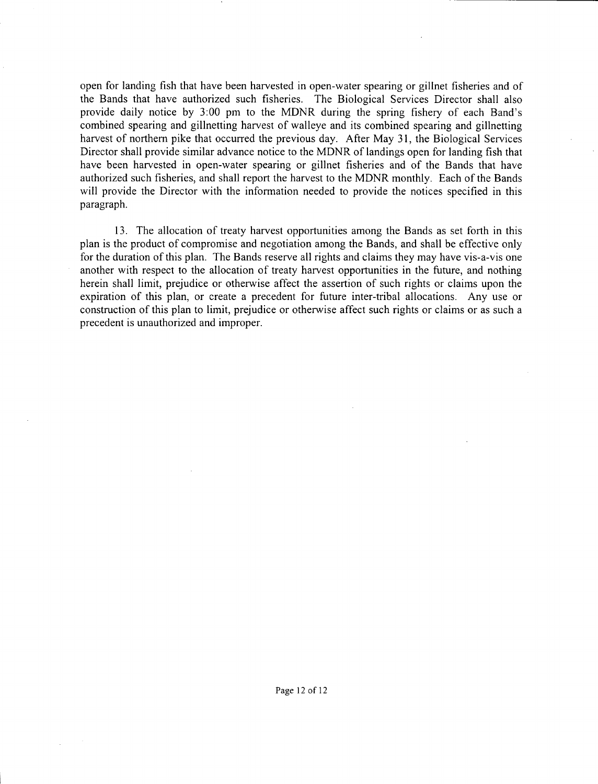open for landing fish that have been harvested in open-water spearing or gilinet fisheries and of the Bands that have authorized such fisheries. The Biological Services Director shall also provide daily notice by 3:00 pm to the MDNR during the spring fishery of each Band's combined spearing and gillnetting harvest of walleye and its combined spearing and gillnetting harvest of northern pike that occurred the previous day. After May 31, the Biological Services Director shall provide similar advance notice to the MDNR of landings open for landing fish that have been harvested in open-water spearing or gilinet fisheries and of the Bands that have authorized such fisheries, and shall report the harvest to the MDNR monthly. Each of the Bands will provide the Director with the information needed to provide the notices specified in this paragraph.

13. The allocation of treaty harvest opportunities among the Bands as set forth in this plan is the product of compromise and negotiation among the Bands, and shall be effective only for the duration of this plan. The Bands reserve all rights and claims they may have vis-a-vis one another with respect to the allocation of treaty harvest opportunities in the future, and nothing herein shall limit, prejudice or otherwise affect the assertion of such rights or claims upon the expiration of this plan, or create <sup>a</sup> precedent for future inter-tribal allocations. Any use or construction of this plan to limit, prejudice or otherwise affect such rights or claims or as such <sup>a</sup> precedent is unauthorized and improper.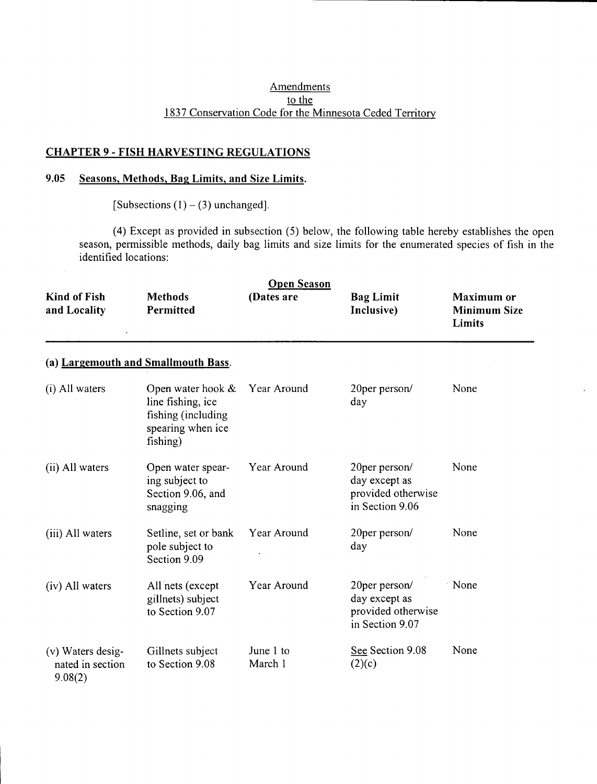### **Amendments** to the 1837 Conservation Code for the Minnesota Ceded Territory

# CHAPTER 9 - FISH HARVESTING REGULATIONS

## 9.05 Seasons, Methods, Bag Limits, and Size Limits.

[Subsections  $(1) - (3)$  unchanged].

 $(4)$  Except as provided in subsection  $(5)$  below, the following table hereby establishes the open season, permissible methods, daily bag limits and size limits for the enumerated species of fish in the identified locations:

| <b>Kind of Fish</b><br>and Locality              | <b>Methods</b><br>Permitted                                                                      | <b>Open Season</b><br>(Dates are | <b>Bag Limit</b><br>Inclusive)                                          | Maximum or<br><b>Minimum Size</b><br>Limits |
|--------------------------------------------------|--------------------------------------------------------------------------------------------------|----------------------------------|-------------------------------------------------------------------------|---------------------------------------------|
|                                                  | (a) Largemouth and Smallmouth Bass.                                                              |                                  |                                                                         |                                             |
| (i) All waters                                   | Open water hook $\&$<br>line fishing, ice<br>fishing (including<br>spearing when ice<br>fishing) | Year Around                      | 20per person/<br>day                                                    | None                                        |
| (ii) All waters                                  | Open water spear-<br>ing subject to<br>Section 9.06, and<br>snagging                             | Year Around                      | 20per person/<br>day except as<br>provided otherwise<br>in Section 9.06 | None                                        |
| (iii) All waters                                 | Setline, set or bank<br>pole subject to<br>Section 9.09                                          | Year Around                      | 20 per person/<br>day                                                   | None                                        |
| (iv) All waters                                  | All nets (except<br>gillnets) subject<br>to Section 9.07                                         | Year Around                      | 20per person/<br>day except as<br>provided otherwise<br>in Section 9.07 | None                                        |
| (v) Waters desig-<br>nated in section<br>9.08(2) | Gillnets subject<br>to Section 9.08                                                              | June 1 to<br>March 1             | See Section 9.08<br>(2)(c)                                              | None                                        |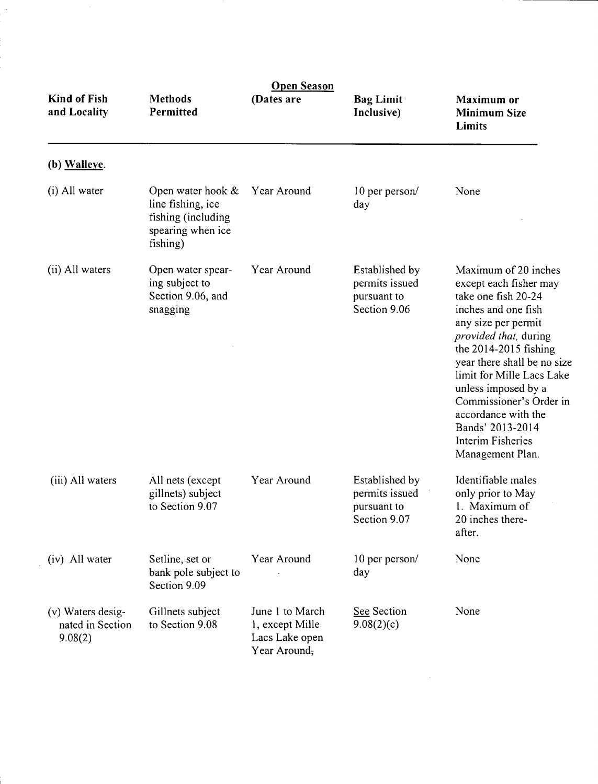| <b>Kind of Fish</b><br>and Locality              | <b>Methods</b><br>Permitted                                                                      | <b>Open Season</b><br>(Dates are                                     | <b>Bag Limit</b><br>Inclusive)                                  | <b>Maximum</b> or<br><b>Minimum Size</b><br><b>Limits</b>                                                                                                                                                                                                                                                                                                                        |
|--------------------------------------------------|--------------------------------------------------------------------------------------------------|----------------------------------------------------------------------|-----------------------------------------------------------------|----------------------------------------------------------------------------------------------------------------------------------------------------------------------------------------------------------------------------------------------------------------------------------------------------------------------------------------------------------------------------------|
| (b) Walleye.                                     |                                                                                                  |                                                                      |                                                                 |                                                                                                                                                                                                                                                                                                                                                                                  |
| (i) All water                                    | Open water hook $\&$<br>line fishing, ice<br>fishing (including<br>spearing when ice<br>fishing) | Year Around                                                          | 10 per person/<br>day                                           | None                                                                                                                                                                                                                                                                                                                                                                             |
| (ii) All waters                                  | Open water spear-<br>ing subject to<br>Section 9.06, and<br>snagging                             | Year Around                                                          | Established by<br>permits issued<br>pursuant to<br>Section 9.06 | Maximum of 20 inches<br>except each fisher may<br>take one fish 20-24<br>inches and one fish<br>any size per permit<br>provided that, during<br>the $2014-2015$ fishing<br>year there shall be no size<br>limit for Mille Lacs Lake<br>unless imposed by a<br>Commissioner's Order in<br>accordance with the<br>Bands' 2013-2014<br><b>Interim Fisheries</b><br>Management Plan. |
| (iii) All waters                                 | All nets (except<br>gillnets) subject<br>to Section 9.07                                         | Year Around                                                          | Established by<br>permits issued<br>pursuant to<br>Section 9.07 | Identifiable males<br>only prior to May<br>1. Maximum of<br>20 inches there-<br>after.                                                                                                                                                                                                                                                                                           |
| (iv) All water                                   | Setline, set or<br>bank pole subject to<br>Section 9.09                                          | Year Around                                                          | 10 per person/<br>day                                           | None                                                                                                                                                                                                                                                                                                                                                                             |
| (v) Waters desig-<br>nated in Section<br>9.08(2) | Gillnets subject<br>to Section 9.08                                                              | June 1 to March<br>1, except Mille<br>Lacs Lake open<br>Year Around, | See Section<br>9.08(2)(c)                                       | None                                                                                                                                                                                                                                                                                                                                                                             |

 $\bar{\gamma}$